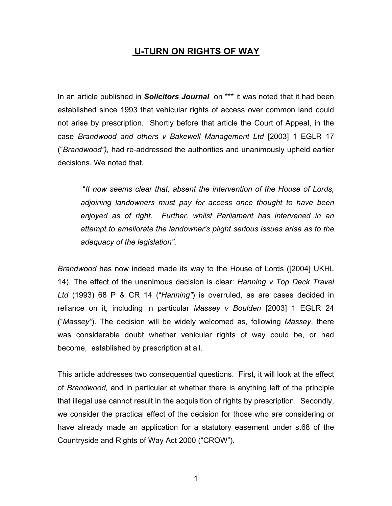## **U-TURN ON RIGHTS OF WAY**

In an article published in *Solicitors Journal* on \*\*\* it was noted that it had been established since 1993 that vehicular rights of access over common land could not arise by prescription. Shortly before that article the Court of Appeal, in the case *Brandwood and others v Bakewell Management Ltd* [2003] 1 EGLR 17 ("*Brandwood"),* had re-addressed the authorities and unanimously upheld earlier decisions. We noted that,

 "*It now seems clear that, absent the intervention of the House of Lords, adjoining landowners must pay for access once thought to have been enjoyed as of right. Further, whilst Parliament has intervened in an attempt to ameliorate the landowner's plight serious issues arise as to the adequacy of the legislation"*.

*Brandwood* has now indeed made its way to the House of Lords ([2004] UKHL 14). The effect of the unanimous decision is clear: *Hanning v Top Deck Travel Ltd* (1993) 68 P & CR 14 ("*Hanning"*) is overruled, as are cases decided in reliance on it, including in particular *Massey v Boulden* [2003] 1 EGLR 24 ("*Massey"*). The decision will be widely welcomed as, following *Massey*, there was considerable doubt whether vehicular rights of way could be, or had become, established by prescription at all.

This article addresses two consequential questions. First, it will look at the effect of *Brandwood,* and in particular at whether there is anything left of the principle that illegal use cannot result in the acquisition of rights by prescription. Secondly, we consider the practical effect of the decision for those who are considering or have already made an application for a statutory easement under s.68 of the Countryside and Rights of Way Act 2000 ("CROW").

1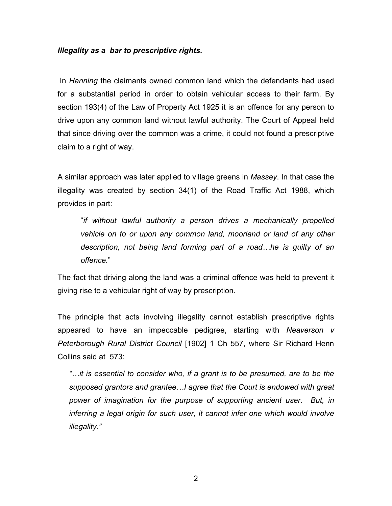## *Illegality as a bar to prescriptive rights.*

 In *Hanning* the claimants owned common land which the defendants had used for a substantial period in order to obtain vehicular access to their farm. By section 193(4) of the Law of Property Act 1925 it is an offence for any person to drive upon any common land without lawful authority. The Court of Appeal held that since driving over the common was a crime, it could not found a prescriptive claim to a right of way.

A similar approach was later applied to village greens in *Massey*. In that case the illegality was created by section 34(1) of the Road Traffic Act 1988, which provides in part:

"*if without lawful authority a person drives a mechanically propelled vehicle on to or upon any common land, moorland or land of any other description, not being land forming part of a road…he is guilty of an offence.*"

The fact that driving along the land was a criminal offence was held to prevent it giving rise to a vehicular right of way by prescription.

The principle that acts involving illegality cannot establish prescriptive rights appeared to have an impeccable pedigree, starting with *Neaverson v Peterborough Rural District Council* [1902] 1 Ch 557, where Sir Richard Henn Collins said at 573:

*"…it is essential to consider who, if a grant is to be presumed, are to be the supposed grantors and grantee…I agree that the Court is endowed with great power of imagination for the purpose of supporting ancient user. But, in inferring a legal origin for such user, it cannot infer one which would involve illegality."*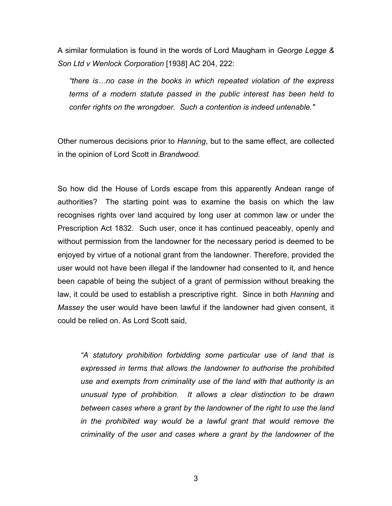A similar formulation is found in the words of Lord Maugham in *George Legge & Son Ltd v Wenlock Corporation* [1938] AC 204, 222:

*"there is…no case in the books in which repeated violation of the express terms of a modern statute passed in the public interest has been held to confer rights on the wrongdoer. Such a contention is indeed untenable."* 

Other numerous decisions prior to *Hanning*, but to the same effect, are collected in the opinion of Lord Scott in *Brandwood.*

So how did the House of Lords escape from this apparently Andean range of authorities? The starting point was to examine the basis on which the law recognises rights over land acquired by long user at common law or under the Prescription Act 1832. Such user, once it has continued peaceably, openly and without permission from the landowner for the necessary period is deemed to be enjoyed by virtue of a notional grant from the landowner. Therefore, provided the user would not have been illegal if the landowner had consented to it, and hence been capable of being the subject of a grant of permission without breaking the law, it could be used to establish a prescriptive right. Since in both *Hanning* and *Massey* the user would have been lawful if the landowner had given consent, it could be relied on. As Lord Scott said,

*"A statutory prohibition forbidding some particular use of land that is expressed in terms that allows the landowner to authorise the prohibited use and exempts from criminality use of the land with that authority is an unusual type of prohibition. It allows a clear distinction to be drawn between cases where a grant by the landowner of the right to use the land in the prohibited way would be a lawful grant that would remove the criminality of the user and cases where a grant by the landowner of the*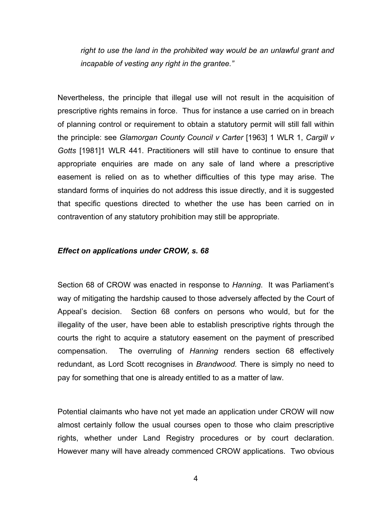right to use the land in the prohibited way would be an unlawful grant and *incapable of vesting any right in the grantee."* 

Nevertheless, the principle that illegal use will not result in the acquisition of prescriptive rights remains in force. Thus for instance a use carried on in breach of planning control or requirement to obtain a statutory permit will still fall within the principle: see *Glamorgan County Council v Carter* [1963] 1 WLR 1, *Cargill v Gotts* [1981]1 WLR 441. Practitioners will still have to continue to ensure that appropriate enquiries are made on any sale of land where a prescriptive easement is relied on as to whether difficulties of this type may arise. The standard forms of inquiries do not address this issue directly, and it is suggested that specific questions directed to whether the use has been carried on in contravention of any statutory prohibition may still be appropriate.

## *Effect on applications under CROW, s. 68*

Section 68 of CROW was enacted in response to *Hanning*. It was Parliament's way of mitigating the hardship caused to those adversely affected by the Court of Appeal's decision. Section 68 confers on persons who would, but for the illegality of the user, have been able to establish prescriptive rights through the courts the right to acquire a statutory easement on the payment of prescribed compensation. The overruling of *Hanning* renders section 68 effectively redundant, as Lord Scott recognises in *Brandwood.* There is simply no need to pay for something that one is already entitled to as a matter of law.

Potential claimants who have not yet made an application under CROW will now almost certainly follow the usual courses open to those who claim prescriptive rights, whether under Land Registry procedures or by court declaration. However many will have already commenced CROW applications. Two obvious

4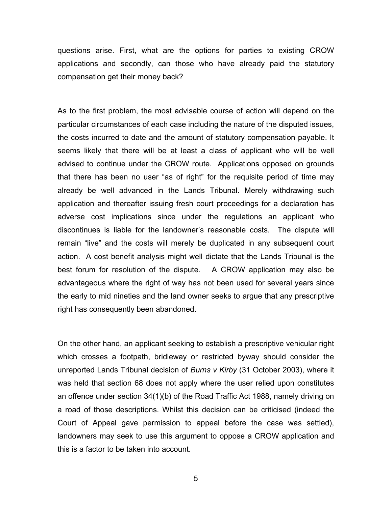questions arise. First, what are the options for parties to existing CROW applications and secondly, can those who have already paid the statutory compensation get their money back?

As to the first problem, the most advisable course of action will depend on the particular circumstances of each case including the nature of the disputed issues, the costs incurred to date and the amount of statutory compensation payable. It seems likely that there will be at least a class of applicant who will be well advised to continue under the CROW route. Applications opposed on grounds that there has been no user "as of right" for the requisite period of time may already be well advanced in the Lands Tribunal. Merely withdrawing such application and thereafter issuing fresh court proceedings for a declaration has adverse cost implications since under the regulations an applicant who discontinues is liable for the landowner's reasonable costs. The dispute will remain "live" and the costs will merely be duplicated in any subsequent court action. A cost benefit analysis might well dictate that the Lands Tribunal is the best forum for resolution of the dispute. A CROW application may also be advantageous where the right of way has not been used for several years since the early to mid nineties and the land owner seeks to argue that any prescriptive right has consequently been abandoned.

On the other hand, an applicant seeking to establish a prescriptive vehicular right which crosses a footpath, bridleway or restricted byway should consider the unreported Lands Tribunal decision of *Burns v Kirby* (31 October 2003), where it was held that section 68 does not apply where the user relied upon constitutes an offence under section 34(1)(b) of the Road Traffic Act 1988, namely driving on a road of those descriptions. Whilst this decision can be criticised (indeed the Court of Appeal gave permission to appeal before the case was settled), landowners may seek to use this argument to oppose a CROW application and this is a factor to be taken into account.

5